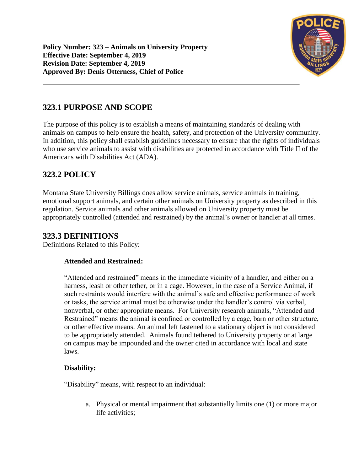

# **323.1 PURPOSE AND SCOPE**

The purpose of this policy is to establish a means of maintaining standards of dealing with animals on campus to help ensure the health, safety, and protection of the University community. In addition, this policy shall establish guidelines necessary to ensure that the rights of individuals who use service animals to assist with disabilities are protected in accordance with Title II of the Americans with Disabilities Act (ADA).

# **323.2 POLICY**

Montana State University Billings does allow service animals, service animals in training, emotional support animals, and certain other animals on University property as described in this regulation. Service animals and other animals allowed on University property must be appropriately controlled (attended and restrained) by the animal's owner or handler at all times.

## **323.3 DEFINITIONS**

Definitions Related to this Policy:

### **Attended and Restrained:**

"Attended and restrained" means in the immediate vicinity of a handler, and either on a harness, leash or other tether, or in a cage. However, in the case of a Service Animal, if such restraints would interfere with the animal's safe and effective performance of work or tasks, the service animal must be otherwise under the handler's control via verbal, nonverbal, or other appropriate means. For University research animals, "Attended and Restrained" means the animal is confined or controlled by a cage, barn or other structure, or other effective means. An animal left fastened to a stationary object is not considered to be appropriately attended. Animals found tethered to University property or at large on campus may be impounded and the owner cited in accordance with local and state laws.

### **Disability:**

"Disability" means, with respect to an individual:

a. Physical or mental impairment that substantially limits one (1) or more major life activities;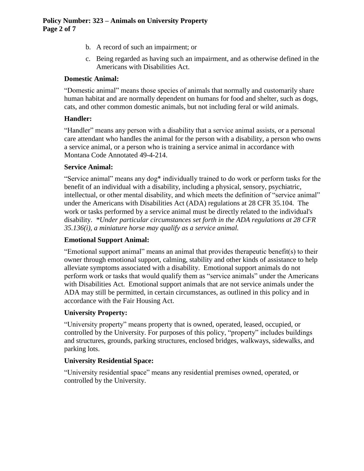- b. A record of such an impairment; or
- c. Being regarded as having such an impairment, and as otherwise defined in the Americans with Disabilities Act.

#### **Domestic Animal:**

"Domestic animal" means those species of animals that normally and customarily share human habitat and are normally dependent on humans for food and shelter, such as dogs, cats, and other common domestic animals, but not including feral or wild animals.

#### **Handler:**

"Handler" means any person with a disability that a service animal assists, or a personal care attendant who handles the animal for the person with a disability, a person who owns a service animal, or a person who is training a service animal in accordance with Montana Code Annotated 49-4-214.

#### **Service Animal:**

"Service animal" means any dog\* individually trained to do work or perform tasks for the benefit of an individual with a disability, including a physical, sensory, psychiatric, intellectual, or other mental disability, and which meets the definition of "service animal" under the Americans with Disabilities Act (ADA) regulations at 28 CFR 35.104. The work or tasks performed by a service animal must be directly related to the individual's disability. *\*Under particular circumstances set forth in the ADA regulations at 28 CFR 35.136(i), a miniature horse may qualify as a service animal.*

#### **Emotional Support Animal:**

"Emotional support animal" means an animal that provides therapeutic benefit(s) to their owner through emotional support, calming, stability and other kinds of assistance to help alleviate symptoms associated with a disability. Emotional support animals do not perform work or tasks that would qualify them as "service animals" under the Americans with Disabilities Act. Emotional support animals that are not service animals under the ADA may still be permitted, in certain circumstances, as outlined in this policy and in accordance with the Fair Housing Act.

#### **University Property:**

"University property" means property that is owned, operated, leased, occupied, or controlled by the University. For purposes of this policy, "property" includes buildings and structures, grounds, parking structures, enclosed bridges, walkways, sidewalks, and parking lots.

#### **University Residential Space:**

"University residential space" means any residential premises owned, operated, or controlled by the University.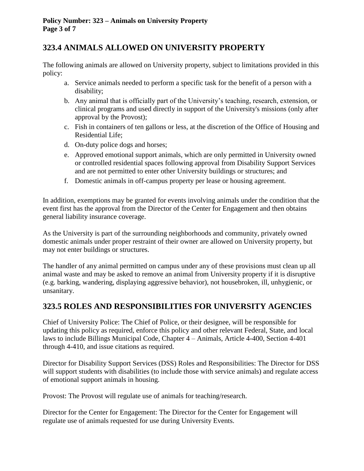## **323.4 ANIMALS ALLOWED ON UNIVERSITY PROPERTY**

The following animals are allowed on University property, subject to limitations provided in this policy:

- a. Service animals needed to perform a specific task for the benefit of a person with a disability;
- b. Any animal that is officially part of the University's teaching, research, extension, or clinical programs and used directly in support of the University's missions (only after approval by the Provost);
- c. Fish in containers of ten gallons or less, at the discretion of the Office of Housing and Residential Life;
- d. On-duty police dogs and horses;
- e. Approved emotional support animals, which are only permitted in University owned or controlled residential spaces following approval from Disability Support Services and are not permitted to enter other University buildings or structures; and
- f. Domestic animals in off-campus property per lease or housing agreement.

In addition, exemptions may be granted for events involving animals under the condition that the event first has the approval from the Director of the Center for Engagement and then obtains general liability insurance coverage.

As the University is part of the surrounding neighborhoods and community, privately owned domestic animals under proper restraint of their owner are allowed on University property, but may not enter buildings or structures.

The handler of any animal permitted on campus under any of these provisions must clean up all animal waste and may be asked to remove an animal from University property if it is disruptive (e.g. barking, wandering, displaying aggressive behavior), not housebroken, ill, unhygienic, or unsanitary.

## **323.5 ROLES AND RESPONSIBILITIES FOR UNIVERSITY AGENCIES**

Chief of University Police: The Chief of Police, or their designee, will be responsible for updating this policy as required, enforce this policy and other relevant Federal, State, and local laws to include Billings Municipal Code, Chapter 4 – Animals, Article 4-400, Section 4-401 through 4-410, and issue citations as required.

Director for Disability Support Services (DSS) Roles and Responsibilities: The Director for DSS will support students with disabilities (to include those with service animals) and regulate access of emotional support animals in housing.

Provost: The Provost will regulate use of animals for teaching/research.

Director for the Center for Engagement: The Director for the Center for Engagement will regulate use of animals requested for use during University Events.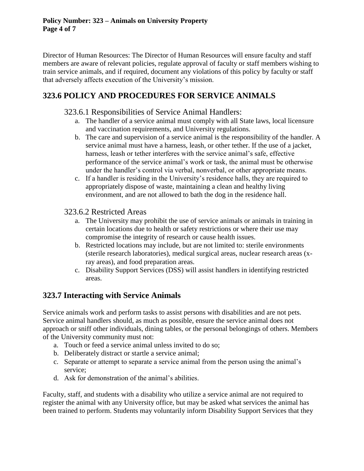Director of Human Resources: The Director of Human Resources will ensure faculty and staff members are aware of relevant policies, regulate approval of faculty or staff members wishing to train service animals, and if required, document any violations of this policy by faculty or staff that adversely affects execution of the University's mission.

# **323.6 POLICY AND PROCEDURES FOR SERVICE ANIMALS**

### 323.6.1 Responsibilities of Service Animal Handlers:

- a. The handler of a service animal must comply with all State laws, local licensure and vaccination requirements, and University regulations.
- b. The care and supervision of a service animal is the responsibility of the handler. A service animal must have a harness, leash, or other tether. If the use of a jacket, harness, leash or tether interferes with the service animal's safe, effective performance of the service animal's work or task, the animal must be otherwise under the handler's control via verbal, nonverbal, or other appropriate means.
- c. If a handler is residing in the University's residence halls, they are required to appropriately dispose of waste, maintaining a clean and healthy living environment, and are not allowed to bath the dog in the residence hall.

### 323.6.2 Restricted Areas

- a. The University may prohibit the use of service animals or animals in training in certain locations due to health or safety restrictions or where their use may compromise the integrity of research or cause health issues.
- b. Restricted locations may include, but are not limited to: sterile environments (sterile research laboratories), medical surgical areas, nuclear research areas (xray areas), and food preparation areas.
- c. Disability Support Services (DSS) will assist handlers in identifying restricted areas.

## **323.7 Interacting with Service Animals**

Service animals work and perform tasks to assist persons with disabilities and are not pets. Service animal handlers should, as much as possible, ensure the service animal does not approach or sniff other individuals, dining tables, or the personal belongings of others. Members of the University community must not:

- a. Touch or feed a service animal unless invited to do so;
- b. Deliberately distract or startle a service animal;
- c. Separate or attempt to separate a service animal from the person using the animal's service;
- d. Ask for demonstration of the animal's abilities.

Faculty, staff, and students with a disability who utilize a service animal are not required to register the animal with any University office, but may be asked what services the animal has been trained to perform. Students may voluntarily inform Disability Support Services that they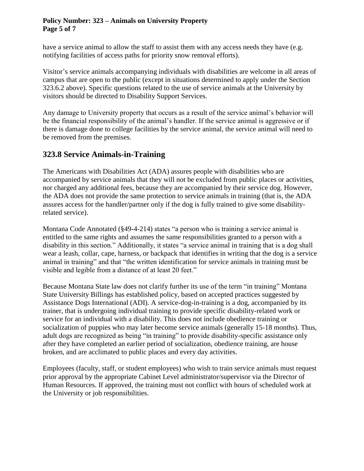### **Policy Number: 323 – Animals on University Property Page 5 of 7**

have a service animal to allow the staff to assist them with any access needs they have (e.g. notifying facilities of access paths for priority snow removal efforts).

Visitor's service animals accompanying individuals with disabilities are welcome in all areas of campus that are open to the public (except in situations determined to apply under the Section 323.6.2 above). Specific questions related to the use of service animals at the University by visitors should be directed to Disability Support Services.

Any damage to University property that occurs as a result of the service animal's behavior will be the financial responsibility of the animal's handler. If the service animal is aggressive or if there is damage done to college facilities by the service animal, the service animal will need to be removed from the premises.

## **323.8 Service Animals-in-Training**

The Americans with Disabilities Act (ADA) assures people with disabilities who are accompanied by service animals that they will not be excluded from public places or activities, nor charged any additional fees, because they are accompanied by their service dog. However, the ADA does not provide the same protection to service animals in training (that is, the ADA assures access for the handler/partner only if the dog is fully trained to give some disabilityrelated service).

Montana Code Annotated (§49-4-214) states "a person who is training a service animal is entitled to the same rights and assumes the same responsibilities granted to a person with a disability in this section." Additionally, it states "a service animal in training that is a dog shall wear a leash, collar, cape, harness, or backpack that identifies in writing that the dog is a service animal in training" and that "the written identification for service animals in training must be visible and legible from a distance of at least 20 feet."

Because Montana State law does not clarify further its use of the term "in training" Montana State University Billings has established policy, based on accepted practices suggested by Assistance Dogs International (ADI). A service-dog-in-training is a dog, accompanied by its trainer, that is undergoing individual training to provide specific disability-related work or service for an individual with a disability. This does not include obedience training or socialization of puppies who may later become service animals (generally 15-18 months). Thus, adult dogs are recognized as being "in training" to provide disability-specific assistance only after they have completed an earlier period of socialization, obedience training, are house broken, and are acclimated to public places and every day activities.

Employees (faculty, staff, or student employees) who wish to train service animals must request prior approval by the appropriate Cabinet Level administrator/supervisor via the Director of Human Resources. If approved, the training must not conflict with hours of scheduled work at the University or job responsibilities.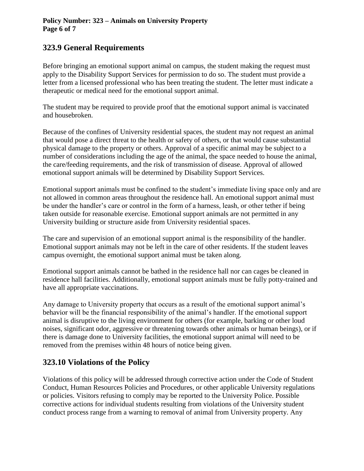### **323.9 General Requirements**

Before bringing an emotional support animal on campus, the student making the request must apply to the Disability Support Services for permission to do so. The student must provide a letter from a licensed professional who has been treating the student. The letter must indicate a therapeutic or medical need for the emotional support animal.

The student may be required to provide proof that the emotional support animal is vaccinated and housebroken.

Because of the confines of University residential spaces, the student may not request an animal that would pose a direct threat to the health or safety of others, or that would cause substantial physical damage to the property or others. Approval of a specific animal may be subject to a number of considerations including the age of the animal, the space needed to house the animal, the care/feeding requirements, and the risk of transmission of disease. Approval of allowed emotional support animals will be determined by Disability Support Services.

Emotional support animals must be confined to the student's immediate living space only and are not allowed in common areas throughout the residence hall. An emotional support animal must be under the handler's care or control in the form of a harness, leash, or other tether if being taken outside for reasonable exercise. Emotional support animals are not permitted in any University building or structure aside from University residential spaces.

The care and supervision of an emotional support animal is the responsibility of the handler. Emotional support animals may not be left in the care of other residents. If the student leaves campus overnight, the emotional support animal must be taken along.

Emotional support animals cannot be bathed in the residence hall nor can cages be cleaned in residence hall facilities. Additionally, emotional support animals must be fully potty-trained and have all appropriate vaccinations.

Any damage to University property that occurs as a result of the emotional support animal's behavior will be the financial responsibility of the animal's handler. If the emotional support animal is disruptive to the living environment for others (for example, barking or other loud noises, significant odor, aggressive or threatening towards other animals or human beings), or if there is damage done to University facilities, the emotional support animal will need to be removed from the premises within 48 hours of notice being given.

### **323.10 Violations of the Policy**

Violations of this policy will be addressed through corrective action under the Code of Student Conduct, Human Resources Policies and Procedures, or other applicable University regulations or policies. Visitors refusing to comply may be reported to the University Police. Possible corrective actions for individual students resulting from violations of the University student conduct process range from a warning to removal of animal from University property. Any